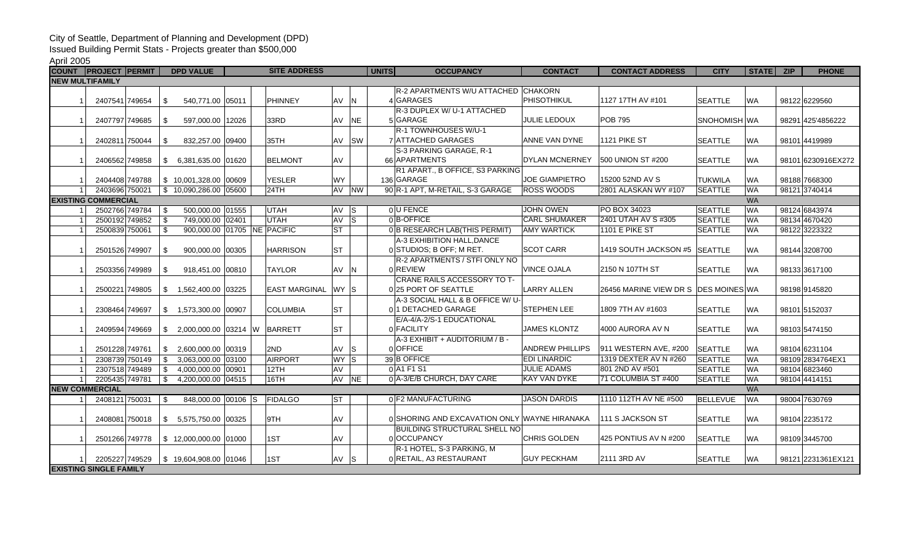## City of Seattle, Department of Planning and Development (DPD)

Issued Building Permit Stats - Projects greater than \$500,000

## April 2005

| <b>COUNT</b>                            |                               | <b>PROJECT PERMIT</b> |          | <b>DPD VALUE</b>             | <b>SITE ADDRESS</b> |  |                      |                 |           | UNITS | <b>OCCUPANCY</b>                             | <b>CONTACT</b>         | <b>CONTACT ADDRESS</b>               | <b>CITY</b>     | STATE     | <b>ZIP</b> | <b>PHONE</b>        |
|-----------------------------------------|-------------------------------|-----------------------|----------|------------------------------|---------------------|--|----------------------|-----------------|-----------|-------|----------------------------------------------|------------------------|--------------------------------------|-----------------|-----------|------------|---------------------|
|                                         | <b>NEW MULTIFAMILY</b>        |                       |          |                              |                     |  |                      |                 |           |       |                                              |                        |                                      |                 |           |            |                     |
|                                         |                               |                       |          |                              |                     |  |                      |                 |           |       | R-2 APARTMENTS W/U ATTACHED                  | <b>CHAKORN</b>         |                                      |                 |           |            |                     |
|                                         |                               | 2407541 749654        | \$       | 540.771.00 05011             |                     |  | PHINNEY              | AV N            |           |       | 4 GARAGES                                    | PHISOTHIKUL            | 1127 17TH AV #101                    | <b>SEATTLE</b>  | <b>WA</b> |            | 98122 6229560       |
|                                         |                               |                       |          |                              |                     |  |                      |                 |           |       | R-3 DUPLEX W/ U-1 ATTACHED                   |                        |                                      |                 |           |            |                     |
|                                         |                               | 2407797 749685        | -\$      | 597,000.00 12026             |                     |  | 33RD                 | AV              | <b>NE</b> |       | 5 GARAGE                                     | JULIE LEDOUX           | <b>POB 795</b>                       | SNOHOMISH WA    |           |            | 98291 425'4856222   |
|                                         |                               |                       |          |                              |                     |  |                      |                 |           |       | R-1 TOWNHOUSES W/U-1                         |                        |                                      |                 |           |            |                     |
|                                         |                               | 2402811 750044        | \$       | 832,257.00 09400             |                     |  | 35TH                 | <b>AV</b>       | <b>SW</b> |       | 7 ATTACHED GARAGES                           | ANNE VAN DYNE          | 1121 PIKE ST                         | <b>SEATTLE</b>  | <b>WA</b> |            | 98101 4419989       |
|                                         |                               |                       |          |                              |                     |  |                      |                 |           |       | S-3 PARKING GARAGE, R-1                      |                        |                                      |                 |           |            |                     |
|                                         |                               | 2406562 749858        | \$       | 6.381.635.00 01620           |                     |  | <b>BELMONT</b>       | <b>AV</b>       |           |       | 66 APARTMENTS                                | DYLAN MCNERNEY         | <b>500 UNION ST #200</b>             | <b>SEATTLE</b>  | <b>WA</b> |            | 98101 6230916EX272  |
|                                         |                               |                       |          |                              |                     |  |                      |                 |           |       | R1 APART., B OFFICE, S3 PARKING              |                        |                                      |                 |           |            |                     |
|                                         |                               | 2404408 749788        |          | $$10,001,328.00$ 00609       |                     |  | <b>YESLER</b>        | WY              |           |       | 136 GARAGE                                   | <b>JOE GIAMPIETRO</b>  | 15200 52ND AV S                      | <b>TUKWILA</b>  | <b>WA</b> |            | 98188 7668300       |
|                                         |                               | 2403696 750021        |          | \$10.090.286.00 05600        |                     |  | 24TH                 | AV NW           |           |       | 90 R-1 APT, M-RETAIL, S-3 GARAGE             | <b>ROSS WOODS</b>      | 2801 ALASKAN WY #107                 | <b>SEATTLE</b>  | <b>WA</b> |            | 98121 3740414       |
| <b>EXISTING COMMERCIAL</b><br><b>WA</b> |                               |                       |          |                              |                     |  |                      |                 |           |       |                                              |                        |                                      |                 |           |            |                     |
|                                         |                               | 2502766 749784        | -\$      | 500,000.00 01555             |                     |  | UTAH                 | AV S            |           |       | 0U FENCE                                     | <b>JOHN OWEN</b>       | <b>PO BOX 34023</b>                  | <b>SEATTLE</b>  | <b>WA</b> |            | 98124 6843974       |
|                                         |                               | 2500192 749852        | <b>S</b> | 749.000.00 02401             |                     |  | <b>UTAH</b>          | AV S            |           |       | nB-OFFICE                                    | <b>CARL SHUMAKER</b>   | 2401 UTAH AV S #305                  | <b>SEATTLE</b>  | <b>WA</b> |            | 98134 4670420       |
|                                         |                               | 2500839 750061        | - \$     | 900,000.00 01705 NE PACIFIC  |                     |  |                      | lst             |           |       | 0 B RESEARCH LAB(THIS PERMIT)                | <b>AMY WARTICK</b>     | 1101 E PIKE ST                       | <b>SEATTLE</b>  | <b>WA</b> |            | 98122 3223322       |
|                                         |                               |                       |          |                              |                     |  |                      |                 |           |       | A-3 EXHIBITION HALL, DANCE                   |                        |                                      |                 |           |            |                     |
|                                         |                               | 2501526 749907        | -\$      | 900.000.00 00305             |                     |  | <b>HARRISON</b>      | lst             |           |       | 0 STUDIOS; B OFF; M RET.                     | <b>SCOT CARR</b>       | 1419 SOUTH JACKSON #5 SEATTLE        |                 | <b>WA</b> |            | 98144 3208700       |
|                                         |                               |                       |          |                              |                     |  |                      |                 |           |       | R-2 APARTMENTS / STFI ONLY NO                |                        |                                      |                 |           |            |                     |
|                                         |                               | 2503356 749989        | \$       | 918,451.00 00810             |                     |  | <b>TAYLOR</b>        | AV N            |           |       | olREVIEW                                     | <b>VINCE OJALA</b>     | 2150 N 107TH ST                      | <b>SEATTLE</b>  | <b>WA</b> |            | 98133 3617100       |
|                                         |                               |                       |          |                              |                     |  |                      |                 |           |       | CRANE RAILS ACCESSORY TO T-                  |                        |                                      |                 |           |            |                     |
|                                         |                               | 2500221 749805        | \$       | 1,562,400.00 03225           |                     |  | <b>EAST MARGINAL</b> | WY S            |           |       | 0 25 PORT OF SEATTLE                         | <b>LARRY ALLEN</b>     | 26456 MARINE VIEW DR S DES MOINES WA |                 |           |            | 98198 9145820       |
|                                         |                               |                       |          |                              |                     |  |                      |                 |           |       | A-3 SOCIAL HALL & B OFFICE W/ U-             |                        |                                      |                 |           |            |                     |
|                                         |                               | 2308464 749697        | \$       | 1,573,300.00 00907           |                     |  | <b>COLUMBIA</b>      | lst             |           |       | 0 1 DETACHED GARAGE                          | <b>STEPHEN LEE</b>     | 1809 7TH AV #1603                    | <b>SEATTLE</b>  | <b>WA</b> |            | 98101 5152037       |
|                                         |                               |                       |          |                              |                     |  |                      |                 |           |       | E/A-4/A-2/S-1 EDUCATIONAL                    |                        |                                      |                 |           |            |                     |
|                                         |                               | 2409594 749669        | \$       | 2,000,000.00 03214 W BARRETT |                     |  |                      | lst             |           |       | 0 FACILITY                                   | <b>JAMES KLONTZ</b>    | 4000 AURORA AV N                     | <b>SEATTLE</b>  | <b>WA</b> |            | 98103 5474150       |
|                                         |                               |                       |          |                              |                     |  |                      |                 |           |       | A-3 EXHIBIT + AUDITORIUM / B -               |                        |                                      |                 |           |            |                     |
|                                         |                               | 2501228 749761        |          | 2,600,000.00 00319           |                     |  | 2ND                  | AV S            |           |       | 0 OFFICE                                     | <b>ANDREW PHILLIPS</b> | 911 WESTERN AVE, #200                | <b>SEATTLE</b>  | <b>WA</b> |            | 98104 6231104       |
|                                         |                               | 2308739 750149        | \$       | 3,063,000.00 03100           |                     |  | AIRPORT              | WY <sub>S</sub> |           |       | 39 B OFFICE                                  | <b>EDI LINARDIC</b>    | 1319 DEXTER AV N #260                | <b>SEATTLE</b>  | <b>WA</b> |            | 98109 2834764EX1    |
|                                         |                               | 2307518 749489        | \$       | 4,000,000.00 00901           |                     |  | 12TH                 | AV              |           |       | 0 A1 F1 S1                                   | <b>JULIE ADAMS</b>     | 801 2ND AV #501                      | <b>SEATTLE</b>  | <b>WA</b> |            | 98104 6823460       |
|                                         |                               | 2205435 749781        | - \$     | 4,200,000.00 04515           |                     |  | 16TH                 | AV NE           |           |       | 0 A-3/E/B CHURCH, DAY CARE                   | <b>KAY VAN DYKE</b>    | 71 COLUMBIA ST #400                  | <b>SEATTLE</b>  | <b>WA</b> |            | 98104 4414151       |
|                                         | <b>NEW COMMERCIAL</b>         |                       |          |                              |                     |  |                      |                 |           |       |                                              |                        |                                      |                 | <b>WA</b> |            |                     |
|                                         |                               | 2408121 750031        | -\$      | 848,000.00 00106 S           |                     |  | FIDALGO              | lst             |           |       | 0 F2 MANUFACTURING                           | <b>JASON DARDIS</b>    | 1110 112TH AV NE #500                | <b>BELLEVUE</b> | <b>WA</b> |            | 98004 7630769       |
|                                         |                               |                       |          |                              |                     |  |                      |                 |           |       |                                              |                        |                                      |                 |           |            |                     |
|                                         |                               | 2408081 750018        | \$       | 5,575,750.00 00325           |                     |  | 9TH                  | AV              |           |       | 0 SHORING AND EXCAVATION ONLY WAYNE HIRANAKA |                        | 111 S JACKSON ST                     | <b>SEATTLE</b>  | <b>WA</b> |            | 98104 2235172       |
|                                         |                               |                       |          |                              |                     |  |                      |                 |           |       | <b>BUILDING STRUCTURAL SHELL NO</b>          |                        |                                      |                 |           |            |                     |
|                                         |                               | 2501266 749778        |          | \$12.000.000.00 01000        |                     |  | 1ST                  | <b>AV</b>       |           |       | 0 OCCUPANCY                                  | <b>CHRIS GOLDEN</b>    | 425 PONTIUS AV N #200                | <b>SEATTLE</b>  | <b>WA</b> |            | 98109 3445700       |
|                                         |                               |                       |          |                              |                     |  |                      |                 |           |       | R-1 HOTEL, S-3 PARKING, M                    |                        |                                      |                 |           |            |                     |
|                                         |                               | 2205227 749529        |          | \$19,604,908.00 01046        |                     |  | 1ST                  | AV S            |           |       | 0 RETAIL, A3 RESTAURANT                      | <b>GUY PECKHAM</b>     | 2111 3RD AV                          | <b>SEATTLE</b>  | <b>WA</b> |            | 98121 2231361 EX121 |
|                                         | <b>EXISTING SINGLE FAMILY</b> |                       |          |                              |                     |  |                      |                 |           |       |                                              |                        |                                      |                 |           |            |                     |